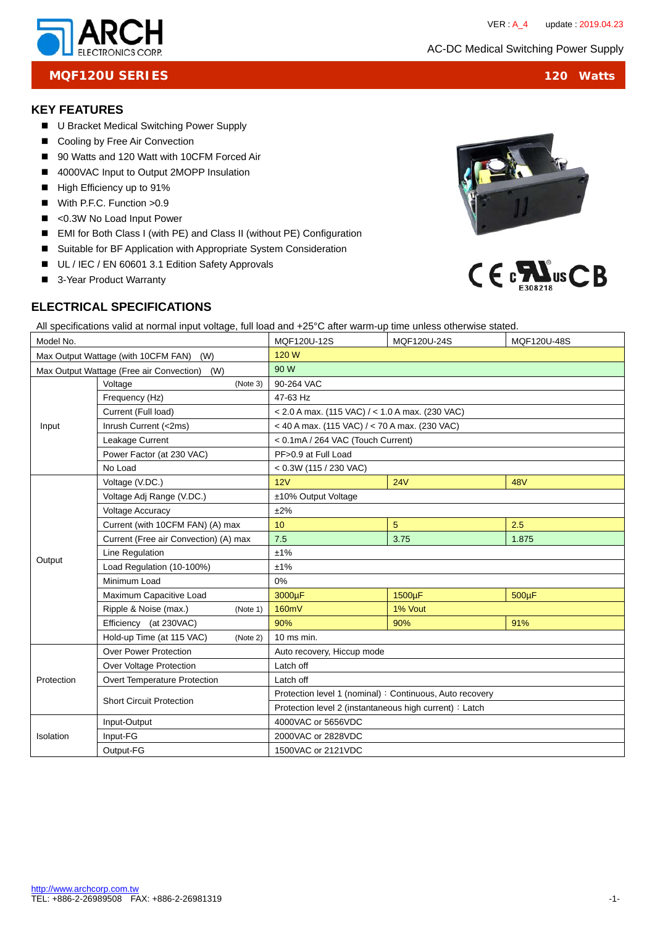

## **MQF120U SERIES** 120 Watts

### **KEY FEATURES**

- U Bracket Medical Switching Power Supply
- Cooling by Free Air Convection
- 90 Watts and 120 Watt with 10CFM Forced Air
- 4000VAC Input to Output 2MOPP Insulation
- High Efficiency up to 91%
- With P.F.C. Function > 0.9
- <0.3W No Load Input Power
- EMI for Both Class I (with PE) and Class II (without PE) Configuration
- Suitable for BF Application with Appropriate System Consideration
- UL / IEC / EN 60601 3.1 Edition Safety Approvals
- 3-Year Product Warranty

# **ELECTRICAL SPECIFICATIONS**

All specifications valid at normal input voltage, full load and +25°C after warm-up time unless otherwise stated.

| Model No.                                       |                                         | MQF120U-12S                                              | MQF120U-24S | MQF120U-48S        |  |  |
|-------------------------------------------------|-----------------------------------------|----------------------------------------------------------|-------------|--------------------|--|--|
|                                                 | Max Output Wattage (with 10CFM FAN) (W) | 120 W                                                    |             |                    |  |  |
| Max Output Wattage (Free air Convection)<br>(W) |                                         | 90 W                                                     |             |                    |  |  |
| Input                                           | Voltage<br>(Note 3)                     | 90-264 VAC                                               |             |                    |  |  |
|                                                 | Frequency (Hz)                          | 47-63 Hz                                                 |             |                    |  |  |
|                                                 | Current (Full load)                     | $<$ 2.0 A max. (115 VAC) / $<$ 1.0 A max. (230 VAC)      |             |                    |  |  |
|                                                 | Inrush Current (<2ms)                   | < 40 A max. (115 VAC) / < 70 A max. (230 VAC)            |             |                    |  |  |
|                                                 | Leakage Current                         | < 0.1mA / 264 VAC (Touch Current)                        |             |                    |  |  |
|                                                 | Power Factor (at 230 VAC)               | PF>0.9 at Full Load                                      |             |                    |  |  |
|                                                 | No Load                                 | $< 0.3W$ (115 / 230 VAC)                                 |             |                    |  |  |
|                                                 | Voltage (V.DC.)                         | 12V                                                      | 24V         | <b>48V</b>         |  |  |
|                                                 | Voltage Adj Range (V.DC.)               | ±10% Output Voltage                                      |             |                    |  |  |
|                                                 | <b>Voltage Accuracy</b>                 | ±2%                                                      |             |                    |  |  |
|                                                 | Current (with 10CFM FAN) (A) max        | 10                                                       | 5           | 2.5                |  |  |
|                                                 | Current (Free air Convection) (A) max   | 7.5                                                      | 3.75        | 1.875              |  |  |
|                                                 | Line Regulation                         | ±1%                                                      |             |                    |  |  |
| Output                                          | Load Regulation (10-100%)               | ±1%                                                      |             |                    |  |  |
|                                                 | Minimum Load                            | 0%                                                       |             |                    |  |  |
|                                                 | Maximum Capacitive Load                 | 3000uF                                                   | 1500µF      | 500 <sub>u</sub> F |  |  |
|                                                 | Ripple & Noise (max.)<br>(Note 1)       | 160mV                                                    | 1% Vout     |                    |  |  |
|                                                 | Efficiency (at 230VAC)                  | 90%                                                      | 90%         | 91%                |  |  |
|                                                 | Hold-up Time (at 115 VAC)<br>(Note 2)   | 10 ms min.                                               |             |                    |  |  |
| Protection                                      | <b>Over Power Protection</b>            | Auto recovery, Hiccup mode                               |             |                    |  |  |
|                                                 | Over Voltage Protection                 | Latch off                                                |             |                    |  |  |
|                                                 | Overt Temperature Protection            | Latch off                                                |             |                    |  |  |
|                                                 | <b>Short Circuit Protection</b>         | Protection level 1 (nominal) : Continuous, Auto recovery |             |                    |  |  |
|                                                 |                                         | Protection level 2 (instantaneous high current) : Latch  |             |                    |  |  |
| Isolation                                       | Input-Output                            | 4000VAC or 5656VDC                                       |             |                    |  |  |
|                                                 | Input-FG                                | 2000VAC or 2828VDC                                       |             |                    |  |  |
|                                                 | Output-FG                               | 1500VAC or 2121VDC                                       |             |                    |  |  |



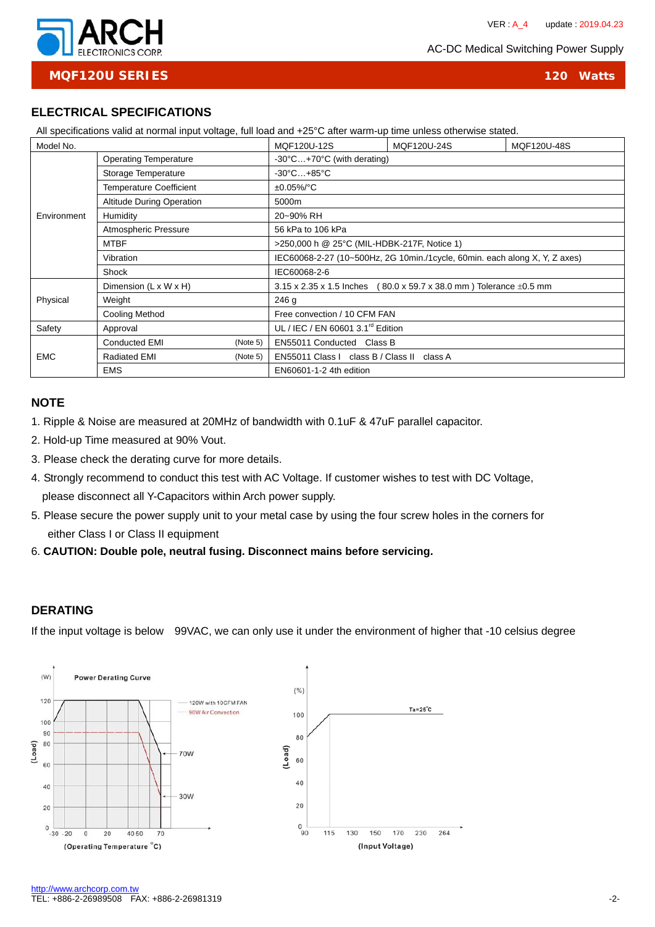



**MQF120U SERIES 120 Watts**

#### **ELECTRICAL SPECIFICATIONS**

All specifications valid at normal input voltage, full load and +25°C after warm-up time unless otherwise stated.

| Model No.   |                                  | MQF120U-12S | MQF120U-24S                                                                | MQF120U-48S |  |  |  |
|-------------|----------------------------------|-------------|----------------------------------------------------------------------------|-------------|--|--|--|
| Environment | <b>Operating Temperature</b>     |             | -30°C+70°C (with derating)                                                 |             |  |  |  |
|             | Storage Temperature              |             | $-30^{\circ}$ C $+85^{\circ}$ C                                            |             |  |  |  |
|             | <b>Temperature Coefficient</b>   |             | $±0.05\%$ <sup>o</sup> C                                                   |             |  |  |  |
|             | <b>Altitude During Operation</b> |             | 5000m                                                                      |             |  |  |  |
|             | Humidity                         |             | 20~90% RH                                                                  |             |  |  |  |
|             | Atmospheric Pressure             |             | 56 kPa to 106 kPa                                                          |             |  |  |  |
|             | <b>MTBF</b>                      |             | >250,000 h @ 25°C (MIL-HDBK-217F, Notice 1)                                |             |  |  |  |
|             | Vibration                        |             | IEC60068-2-27 (10~500Hz, 2G 10min./1cycle, 60min. each along X, Y, Z axes) |             |  |  |  |
|             | Shock                            |             | IEC60068-2-6                                                               |             |  |  |  |
| Physical    | Dimension (L x W x H)            |             | 3.15 x 2.35 x 1.5 Inches (80.0 x 59.7 x 38.0 mm) Tolerance $\pm$ 0.5 mm    |             |  |  |  |
|             | Weight                           |             | 246 g                                                                      |             |  |  |  |
|             | Cooling Method                   |             | Free convection / 10 CFM FAN                                               |             |  |  |  |
| Safety      | Approval                         |             | UL / IEC / EN 60601 3.1 <sup>rd</sup> Edition                              |             |  |  |  |
| <b>EMC</b>  | <b>Conducted EMI</b>             | (Note 5)    | EN55011 Conducted Class B                                                  |             |  |  |  |
|             | <b>Radiated EMI</b>              | (Note 5)    | EN55011 Class I class B / Class II class A                                 |             |  |  |  |
|             | <b>EMS</b>                       |             | EN60601-1-2 4th edition                                                    |             |  |  |  |

#### **NOTE**

1. Ripple & Noise are measured at 20MHz of bandwidth with 0.1uF & 47uF parallel capacitor.

- 2. Hold-up Time measured at 90% Vout.
- 3. Please check the derating curve for more details.
- 4. Strongly recommend to conduct this test with AC Voltage. If customer wishes to test with DC Voltage, please disconnect all Y-Capacitors within Arch power supply.
- 5. Please secure the power supply unit to your metal case by using the four screw holes in the corners for either Class I or Class II equipment
- 6. **CAUTION: Double pole, neutral fusing. Disconnect mains before servicing.**

#### **DERATING**

If the input voltage is below 99VAC, we can only use it under the environment of higher that -10 celsius degree